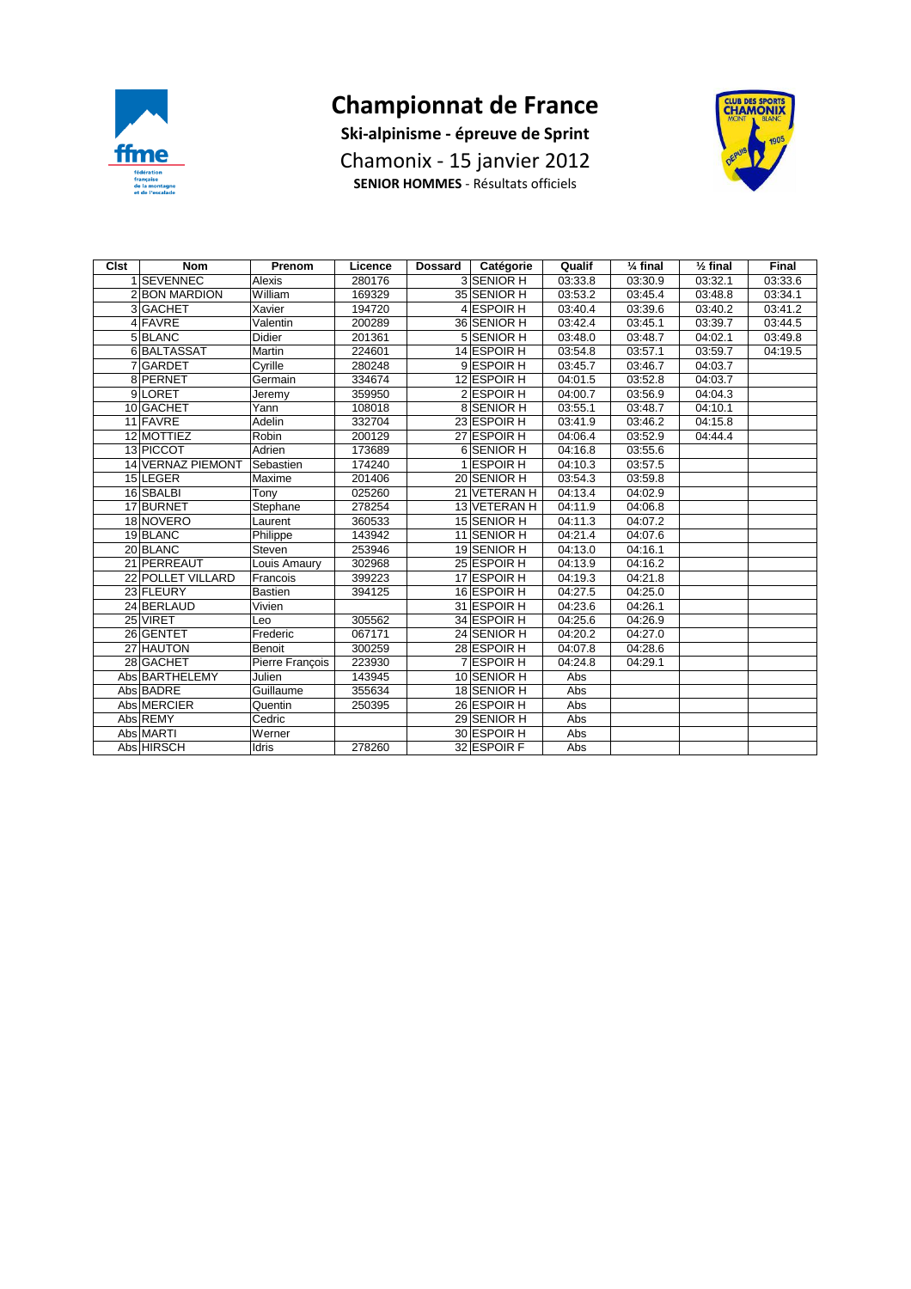| <b>Clst</b><br><b>Nom</b> | Prenom          | Licence | <b>Dossard</b> | Catégorie            | Qualif  | $\frac{1}{4}$ final | $\frac{1}{2}$ final | <b>Final</b> |
|---------------------------|-----------------|---------|----------------|----------------------|---------|---------------------|---------------------|--------------|
| 1 SEVENNEC                | Alexis          | 280176  |                | 3 SENIOR H           | 03:33.8 | 03:30.9             | 03:32.1             | 03:33.6      |
| 2 BON MARDION             | William         | 169329  |                | 35 SENIOR H          | 03:53.2 | 03:45.4             | 03:48.8             | 03:34.1      |
| 3 GACHET                  | Xavier          | 194720  |                | 4 ESPOIR H           | 03:40.4 | 03:39.6             | 03:40.2             | 03:41.2      |
| 4 FAVRE                   | Valentin        | 200289  |                | 36 SENIOR H          | 03:42.4 | 03:45.1             | 03:39.7             | 03:44.5      |
| 5BLANC                    | Didier          | 201361  |                | 5 SENIOR H           | 03:48.0 | 03:48.7             | 04:02.1             | 03:49.8      |
| 6BALTASSAT                | Martin          | 224601  |                | $14$ ESPOIR H        | 03:54.8 | 03:57.1             | 03:59.7             | 04:19.5      |
| 7 GARDET                  | Cyrille         | 280248  |                | 9ESPOIR H            | 03:45.7 | 03:46.7             | 04:03.7             |              |
| 8 PERNET                  | Germain         | 334674  |                | $12$ <b>ESPOIR H</b> | 04:01.5 | 03:52.8             | 04:03.7             |              |
| 9LORET                    | Jeremy          | 359950  |                | $2$ <b>ESPOIR H</b>  | 04:00.7 | 03:56.9             | 04:04.3             |              |
| 10 GACHET                 | Yann            | 108018  |                | 8 SENIOR H           | 03:55.1 | 03:48.7             | 04:10.1             |              |
| 11 FAVRE                  | Adelin          | 332704  |                | 23 ESPOIR H          | 03:41.9 | 03:46.2             | 04:15.8             |              |
| 12 MOTTIEZ                | Robin           | 200129  |                | 27 ESPOIR H          | 04:06.4 | 03:52.9             | 04:44.4             |              |
| 13 PICCOT                 | Adrien          | 173689  |                | 6 SENIOR H           | 04:16.8 | 03:55.6             |                     |              |
| 14 VERNAZ PIEMONT         | Sebastien       | 174240  |                | <b>ESPOIR H</b>      | 04:10.3 | 03:57.5             |                     |              |
| 15 LEGER                  | Maxime          | 201406  |                | 20 SENIOR H          | 03:54.3 | 03:59.8             |                     |              |
| 16 SBALBI                 | Tony            | 025260  |                | 21 VETERAN H         | 04:13.4 | 04:02.9             |                     |              |
| 17 BURNET                 | Stephane        | 278254  |                | 13 VETERAN H         | 04:11.9 | 04:06.8             |                     |              |
| 18 NOVERO                 | Laurent         | 360533  |                | 15 SENIOR H          | 04:11.3 | 04:07.2             |                     |              |
| 19 BLANC                  | Philippe        | 143942  |                | 11 SENIOR H          | 04:21.4 | 04:07.6             |                     |              |
| 20 BLANC                  | Steven          | 253946  |                | 19 SENIOR H          | 04:13.0 | 04:16.1             |                     |              |
| 21 PERREAUT               | Louis Amaury    | 302968  |                | 25 ESPOIR H          | 04:13.9 | 04:16.2             |                     |              |
| 22 POLLET VILLARD         | Francois        | 399223  |                | 17 ESPOIR H          | 04:19.3 | 04:21.8             |                     |              |
| 23 FLEURY                 | <b>Bastien</b>  | 394125  |                | 16 ESPOIR H          | 04:27.5 | 04:25.0             |                     |              |
| 24 BERLAUD                | Vivien          |         |                | 31 ESPOIR H          | 04:23.6 | 04:26.1             |                     |              |
| 25 VIRET                  | Leo             | 305562  |                | 34 ESPOIR H          | 04:25.6 | 04:26.9             |                     |              |
| 26 GENTET                 | Frederic        | 067171  |                | 24 SENIOR H          | 04:20.2 | 04:27.0             |                     |              |
| 27 HAUTON                 | Benoit          | 300259  |                | 28 ESPOIR H          | 04:07.8 | 04:28.6             |                     |              |
| 28 GACHET                 | Pierre François | 223930  |                | 7 ESPOIR H           | 04:24.8 | 04:29.1             |                     |              |
| Abs BARTHELEMY            | Julien          | 143945  |                | 10 SENIOR H          | Abs     |                     |                     |              |
| Abs BADRE                 | Guillaume       | 355634  |                | 18 SENIOR H          | Abs     |                     |                     |              |
| Abs MERCIER               | Quentin         | 250395  |                | 26 ESPOIR H          | Abs     |                     |                     |              |
| Abs REMY                  | Cedric          |         |                | 29 SENIOR H          | Abs     |                     |                     |              |
| Abs MARTI                 | Werner          |         |                | 30 ESPOIR H          | Abs     |                     |                     |              |
| Abs HIRSCH                | Idris           | 278260  |                | 32 ESPOIR F          | Abs     |                     |                     |              |



**Ski-alpinisme - épreuve de Sprint** Chamonix - 15 janvier 2012

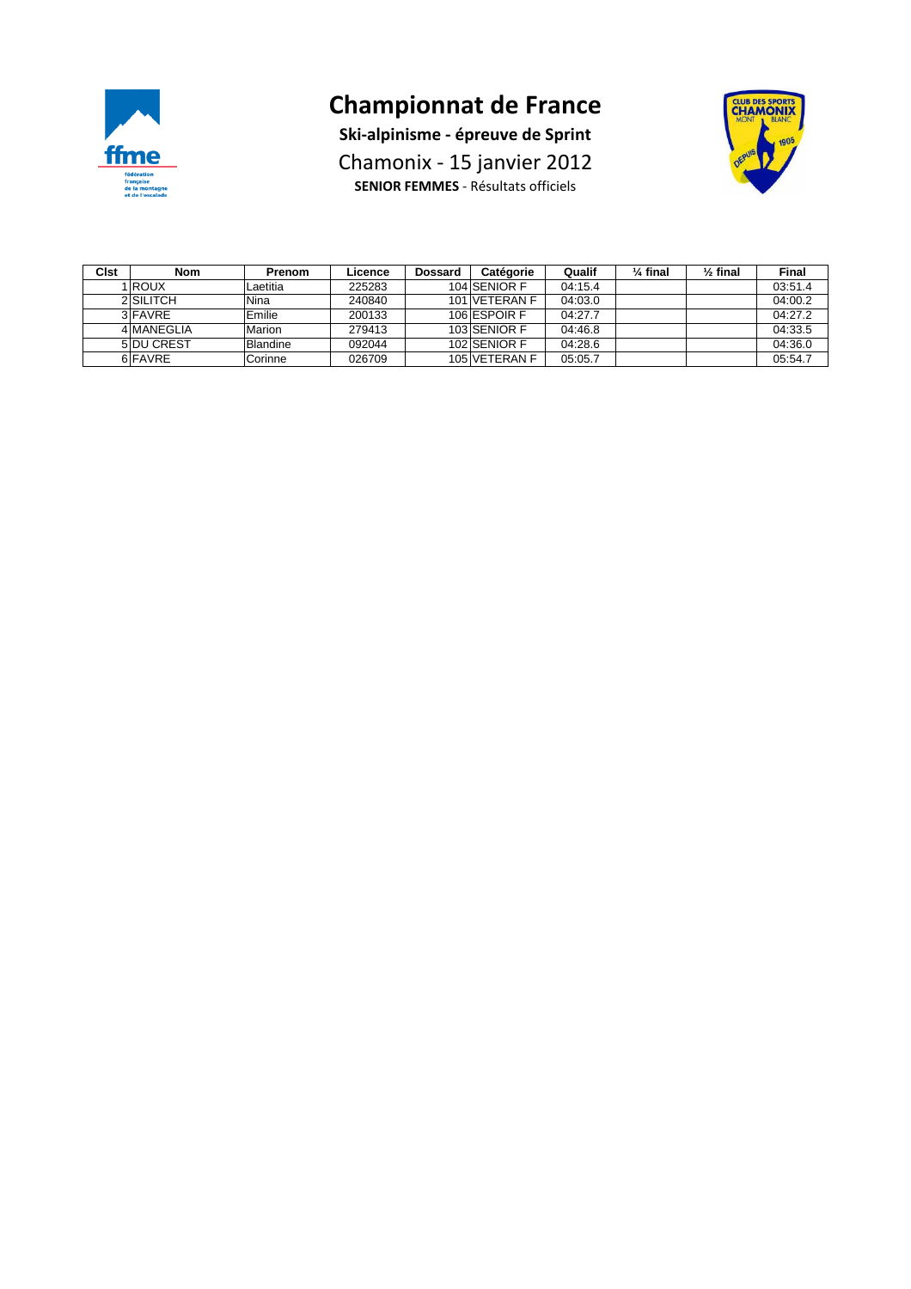

**Ski-alpinisme - épreuve de Sprint** Chamonix - 15 janvier 2012 **SENIOR FEMMES** - Résultats officiels



| Clst | <b>Nom</b>   | <b>Prenom</b>   | Licence | <b>Dossard</b> | Catégorie     | Qualif  | $\frac{1}{4}$ final | $\frac{1}{2}$ final | <b>Final</b> |
|------|--------------|-----------------|---------|----------------|---------------|---------|---------------------|---------------------|--------------|
|      | <b>IROUX</b> | Laetitia        | 225283  |                | 104 SENIOR F  | 04:15.4 |                     |                     | 03:51.4      |
|      | 2 SILITCH    | Nina            | 240840  |                | 101 VETERAN F | 04:03.0 |                     |                     | 04:00.2      |
|      | 3 FAVRE      | Emilie          | 200133  |                | 106 ESPOIR F  | 04:27.7 |                     |                     | 04:27.2      |
|      | 4 MANEGLIA   | Marion          | 279413  |                | 103 SENIOR F  | 04:46.8 |                     |                     | 04:33.5      |
|      | 5 DU CREST   | <b>Blandine</b> | 092044  |                | 102 SENIOR F  | 04:28.6 |                     |                     | 04:36.0      |
|      | 6 FAVRE      | Corinne         | 026709  |                | 105 VETERAN F | 05:05.7 |                     |                     | 05:54.7      |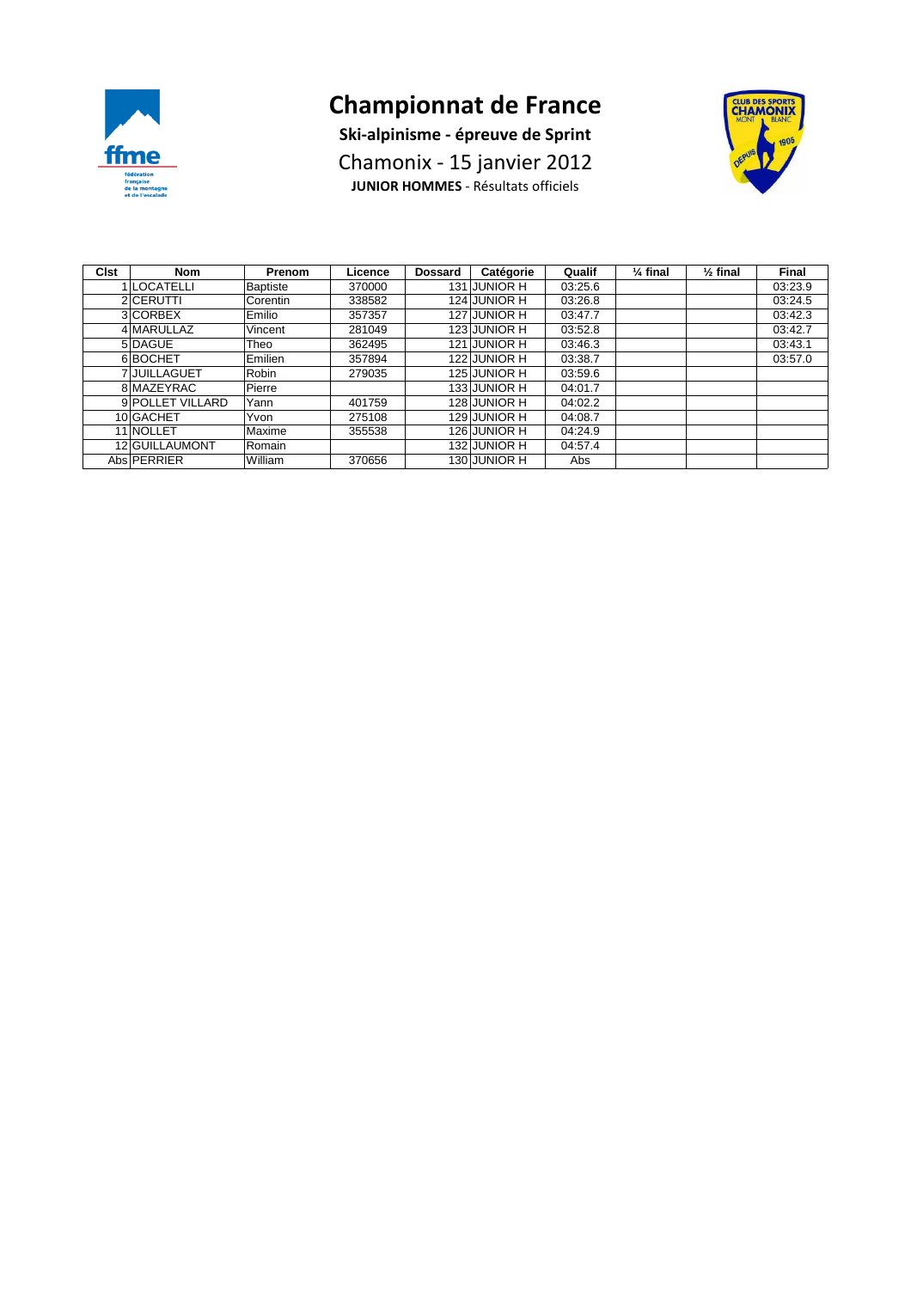

**Ski-alpinisme - épreuve de Sprint** Chamonix - 15 janvier 2012 **JUNIOR HOMMES** - Résultats officiels



| <b>Clst</b> | <b>Nom</b>         | Prenom          | Licence | Catégorie<br><b>Dossard</b> | Qualif  | $\frac{1}{4}$ final | $\frac{1}{2}$ final | <b>Final</b> |
|-------------|--------------------|-----------------|---------|-----------------------------|---------|---------------------|---------------------|--------------|
|             | LOCATELLI          | <b>Baptiste</b> | 370000  | 131 JUNIOR H                | 03:25.6 |                     |                     | 03:23.9      |
|             | 2 CERUTTI          | Corentin        | 338582  | 124 JUNIOR H                | 03:26.8 |                     |                     | 03:24.5      |
|             | 3 CORBEX           | Emilio          | 357357  | 127 JUNIOR H                | 03:47.7 |                     |                     | 03:42.3      |
|             | 4 MARULLAZ         | Vincent         | 281049  | 123 JUNIOR H                | 03:52.8 |                     |                     | 03:42.7      |
|             | 5 DAGUE            | Theo            | 362495  | 121 JUNIOR H                | 03:46.3 |                     |                     | 03:43.1      |
|             | 6BOCHET            | Emilien         | 357894  | 122 JUNIOR H                | 03:38.7 |                     |                     | 03:57.0      |
|             | 7 JUILLAGUET       | Robin           | 279035  | 125 JUNIOR H                | 03:59.6 |                     |                     |              |
|             | 8 MAZEYRAC         | Pierre          |         | 133 JUNIOR H                | 04:01.7 |                     |                     |              |
|             | 9 POLLET VILLARD   | Yann            | 401759  | 128 JUNIOR H                | 04:02.2 |                     |                     |              |
|             | 10 GACHET          | Yvon            | 275108  | 129 JUNIOR H                | 04:08.7 |                     |                     |              |
|             | 11 NOLLET          | Maxime          | 355538  | 126 JUNIOR H                | 04:24.9 |                     |                     |              |
|             | 12 GUILLAUMONT     | Romain          |         | 132 JUNIOR H                | 04:57.4 |                     |                     |              |
|             | Abs <b>PERRIER</b> | William         | 370656  | 130 JUNIOR H                | Abs     |                     |                     |              |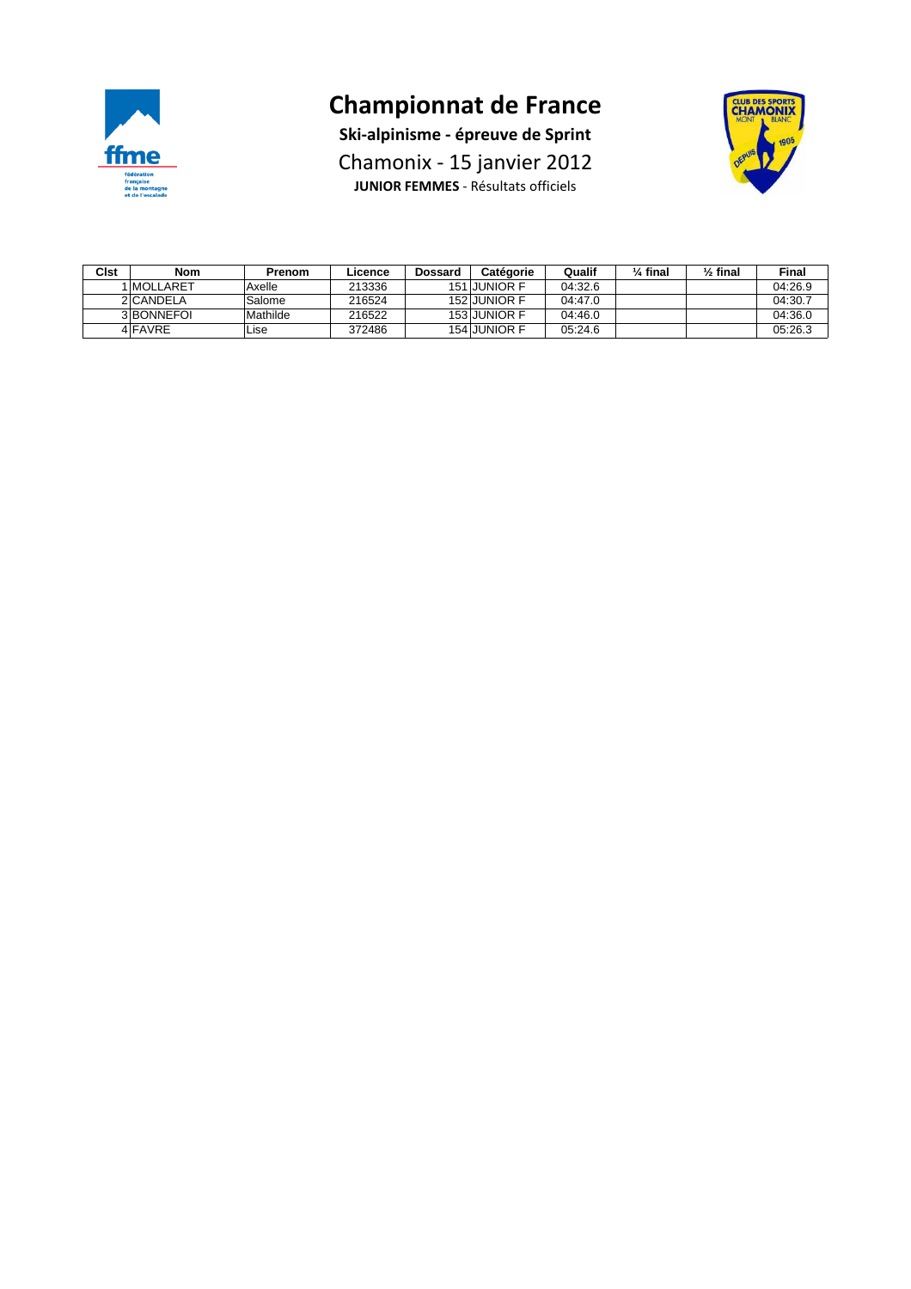

**Ski-alpinisme - épreuve de Sprint** Chamonix - 15 janvier 2012 **JUNIOR FEMMES** - Résultats officiels



| Clst | <b>Nom</b>  | <b>Prenom</b> | Licence | <b>Dossard</b> | Catégorie    | Qualif  | $\frac{1}{4}$ final | $\frac{1}{2}$ final | Final   |
|------|-------------|---------------|---------|----------------|--------------|---------|---------------------|---------------------|---------|
|      | I IMOLLARET | Axelle        | 213336  |                | 151 JUNIOR F | 04:32.6 |                     |                     | 04:26.9 |
|      | 2 CANDELA   | Salome        | 216524  |                | 152 JUNIOR F | 04:47.0 |                     |                     | 04:30.7 |
|      | 3 BONNEFOL  | Mathilde      | 216522  |                | 153 JUNIOR F | 04:46.0 |                     |                     | 04:36.0 |
|      | 4 FAVRE     | _ise.         | 372486  |                | 154 JUNIOR F | 05:24.6 |                     |                     | 05:26.3 |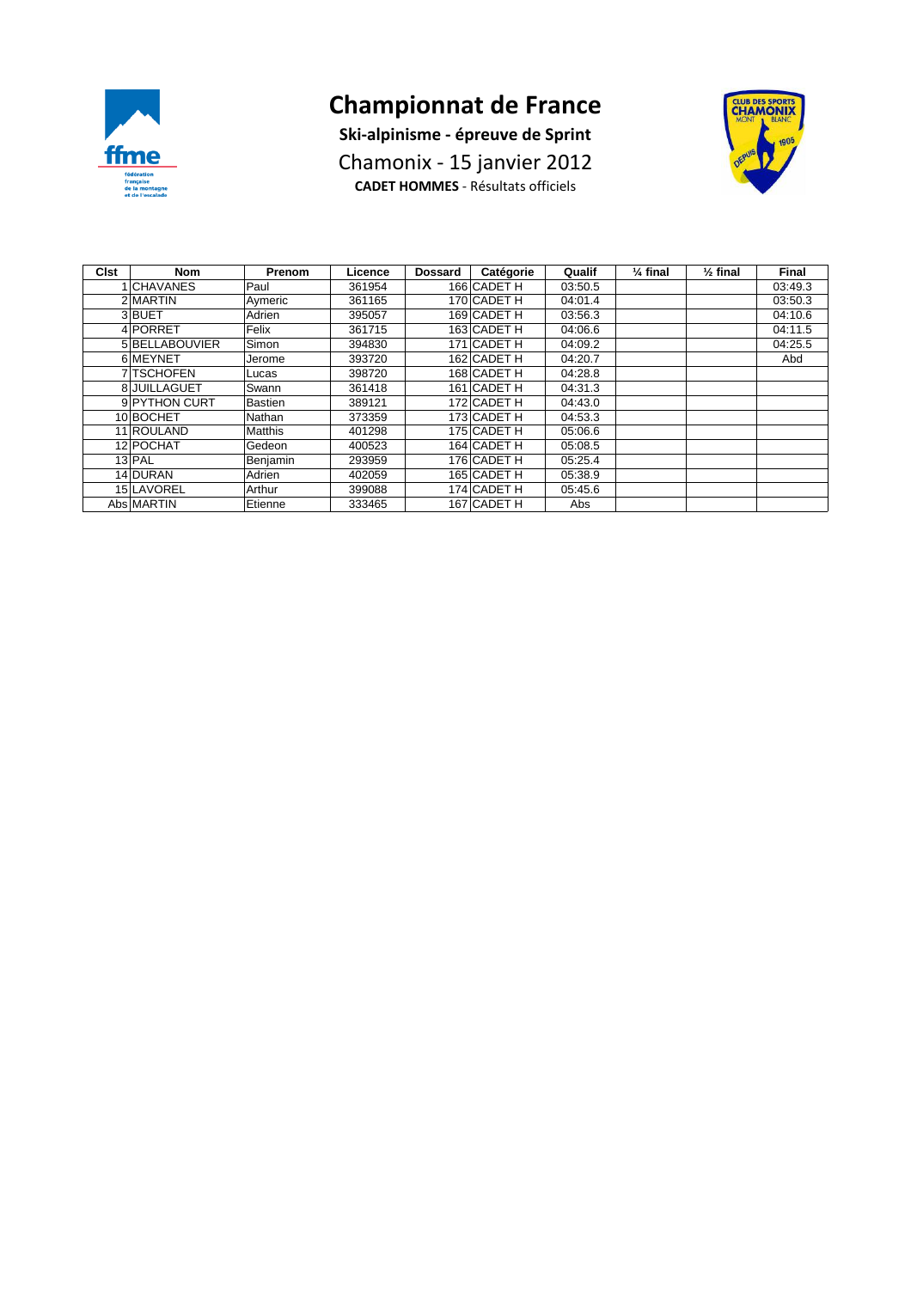

**Ski-alpinisme - épreuve de Sprint** Chamonix - 15 janvier 2012 **CADET HOMMES** - Résultats officiels



| Clst | <b>Nom</b>      | Prenom         | Licence | <b>Dossard</b> | Catégorie   | Qualif  | $\frac{1}{4}$ final | $\frac{1}{2}$ final | <b>Final</b> |
|------|-----------------|----------------|---------|----------------|-------------|---------|---------------------|---------------------|--------------|
|      | <b>CHAVANES</b> | Paul           | 361954  |                | 166 CADET H | 03:50.5 |                     |                     | 03:49.3      |
|      | 2 MARTIN        | Aymeric        | 361165  |                | 170 CADET H | 04:01.4 |                     |                     | 03:50.3      |
|      | 3BUET           | Adrien         | 395057  |                | 169 CADET H | 03:56.3 |                     |                     | 04:10.6      |
|      | 4 PORRET        | Felix          | 361715  |                | 163 CADET H | 04:06.6 |                     |                     | 04:11.5      |
|      | 5 BELLABOUVIER  | Simon          | 394830  |                | 171 CADET H | 04:09.2 |                     |                     | 04:25.5      |
|      | 6 MEYNET        | Jerome         | 393720  |                | 162 CADET H | 04:20.7 |                     |                     | Abd          |
|      | 7 TSCHOFEN      | Lucas          | 398720  |                | 168 CADET H | 04:28.8 |                     |                     |              |
|      | 8JUILLAGUET     | Swann          | 361418  |                | 161 CADET H | 04:31.3 |                     |                     |              |
|      | 9 PYTHON CURT   | <b>Bastien</b> | 389121  |                | 172 CADET H | 04:43.0 |                     |                     |              |
|      | 10 BOCHET       | Nathan         | 373359  |                | 173 CADET H | 04:53.3 |                     |                     |              |
|      | 11 ROULAND      | <b>Matthis</b> | 401298  |                | 175 CADET H | 05:06.6 |                     |                     |              |
|      | 12 POCHAT       | Gedeon         | 400523  |                | 164 CADET H | 05:08.5 |                     |                     |              |
|      | $13$ PAL        | Benjamin       | 293959  |                | 176 CADET H | 05:25.4 |                     |                     |              |
|      | 14 DURAN        | Adrien         | 402059  |                | 165 CADET H | 05:38.9 |                     |                     |              |
|      | 15 LAVOREL      | Arthur         | 399088  |                | 174 CADET H | 05:45.6 |                     |                     |              |
|      | Abs MARTIN      | Etienne        | 333465  |                | 167 CADET H | Abs     |                     |                     |              |